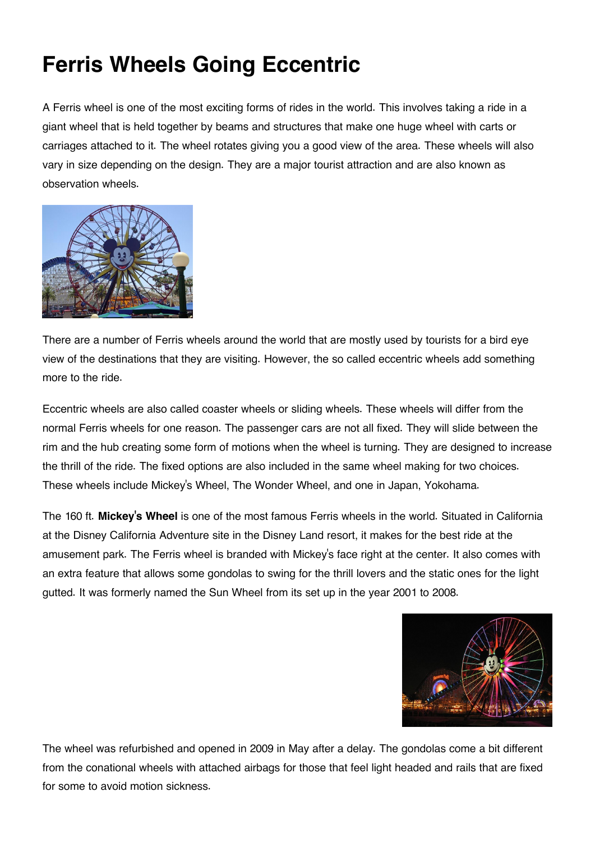## **Ferris Wheels Going Eccentric**

A Ferris wheel is one of the most exciting forms of rides in the world. This involves taking a ride in a giant wheel that is held together by beams and structures that make one huge wheel with carts or carriages attached to it. The wheel rotates giving you a good view of the area. These wheels will also vary in size depending on the design. They are a major tourist attraction and are also known as observation wheels.



There are a number of Ferris wheels around the world that are mostly used by tourists for a bird eye view of the destinations that they are visiting. However, the so called eccentric wheels add something more to the ride.

Eccentric wheels are also called coaster wheels or sliding wheels. These wheels will differ from the normal Ferris wheels for one reason. The passenger cars are not all fixed. They will slide between the rim and the hub creating some form of motions when the wheel is turning. They are designed to increase the thrill of the ride. The fixed options are also included in the same wheel making for two choices. These wheels include Mickey's Wheel, The Wonder Wheel, and one in Japan, Yokohama.

The 160 ft. **Mickey's Wheel** is one of the most famous Ferris wheels in the world. Situated in California at the Disney California Adventure site in the Disney Land resort, it makes for the best ride at the amusement park. The Ferris wheel is branded with Mickey's face right at the center. It also comes with an extra feature that allows some gondolas to swing for the thrill lovers and the static ones for the light gutted. It was formerly named the Sun Wheel from its set up in the year 2001 to 2008.



The wheel was refurbished and opened in 2009 in May after a delay. The gondolas come a bit different from the conational wheels with attached airbags for those that feel light headed and rails that are fixed for some to avoid motion sickness.